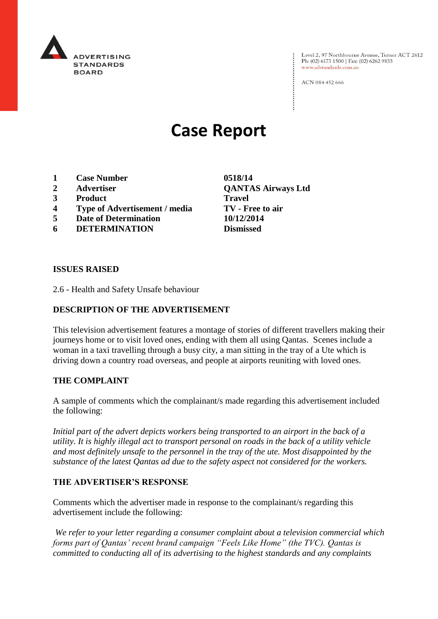

Level 2, 97 Northbourne Avenue, Turner ACT 2612 Ph: (02) 6173 1500 | Fax: (02) 6262 9833 www.adstandards.com.au

ACN 084 452 666

# **Case Report**

- **1 Case Number 0518/14**
- 
- **3 Product Travel**
- **4 Type of Advertisement / media TV - Free to air**
- **5 Date of Determination 10/12/2014**
- **6 DETERMINATION Dismissed**

**2 Advertiser QANTAS Airways Ltd**

#### **ISSUES RAISED**

2.6 - Health and Safety Unsafe behaviour

## **DESCRIPTION OF THE ADVERTISEMENT**

This television advertisement features a montage of stories of different travellers making their journeys home or to visit loved ones, ending with them all using Qantas. Scenes include a woman in a taxi travelling through a busy city, a man sitting in the tray of a Ute which is driving down a country road overseas, and people at airports reuniting with loved ones.

### **THE COMPLAINT**

A sample of comments which the complainant/s made regarding this advertisement included the following:

*Initial part of the advert depicts workers being transported to an airport in the back of a utility. It is highly illegal act to transport personal on roads in the back of a utility vehicle and most definitely unsafe to the personnel in the tray of the ute. Most disappointed by the substance of the latest Qantas ad due to the safety aspect not considered for the workers.*

### **THE ADVERTISER'S RESPONSE**

Comments which the advertiser made in response to the complainant/s regarding this advertisement include the following:

*We refer to your letter regarding a consumer complaint about a television commercial which forms part of Qantas' recent brand campaign "Feels Like Home" (the TVC). Qantas is committed to conducting all of its advertising to the highest standards and any complaints*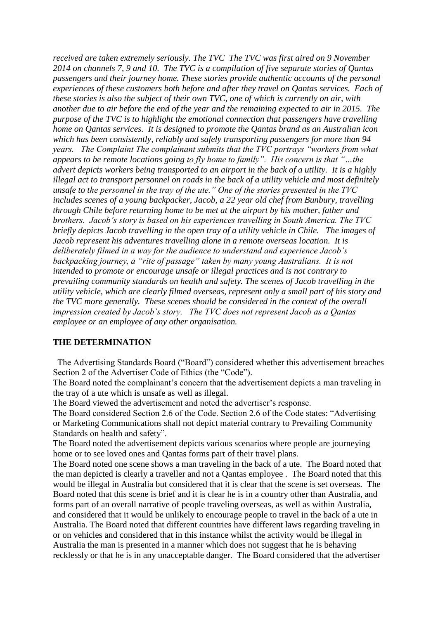*received are taken extremely seriously. The TVC The TVC was first aired on 9 November 2014 on channels 7, 9 and 10. The TVC is a compilation of five separate stories of Qantas passengers and their journey home. These stories provide authentic accounts of the personal experiences of these customers both before and after they travel on Qantas services. Each of these stories is also the subject of their own TVC, one of which is currently on air, with another due to air before the end of the year and the remaining expected to air in 2015. The purpose of the TVC is to highlight the emotional connection that passengers have travelling home on Qantas services. It is designed to promote the Qantas brand as an Australian icon which has been consistently, reliably and safely transporting passengers for more than 94 years. The Complaint The complainant submits that the TVC portrays "workers from what appears to be remote locations going to fly home to family". His concern is that "…the advert depicts workers being transported to an airport in the back of a utility. It is a highly illegal act to transport personnel on roads in the back of a utility vehicle and most definitely unsafe to the personnel in the tray of the ute." One of the stories presented in the TVC includes scenes of a young backpacker, Jacob, a 22 year old chef from Bunbury, travelling through Chile before returning home to be met at the airport by his mother, father and brothers. Jacob's story is based on his experiences travelling in South America. The TVC briefly depicts Jacob travelling in the open tray of a utility vehicle in Chile. The images of Jacob represent his adventures travelling alone in a remote overseas location. It is deliberately filmed in a way for the audience to understand and experience Jacob's backpacking journey, a "rite of passage" taken by many young Australians. It is not intended to promote or encourage unsafe or illegal practices and is not contrary to prevailing community standards on health and safety. The scenes of Jacob travelling in the utility vehicle, which are clearly filmed overseas, represent only a small part of his story and the TVC more generally. These scenes should be considered in the context of the overall impression created by Jacob's story. The TVC does not represent Jacob as a Qantas employee or an employee of any other organisation.* 

# **THE DETERMINATION**

 The Advertising Standards Board ("Board") considered whether this advertisement breaches Section 2 of the Advertiser Code of Ethics (the "Code").

The Board noted the complainant's concern that the advertisement depicts a man traveling in the tray of a ute which is unsafe as well as illegal.

The Board viewed the advertisement and noted the advertiser's response.

The Board considered Section 2.6 of the Code. Section 2.6 of the Code states: "Advertising or Marketing Communications shall not depict material contrary to Prevailing Community Standards on health and safety".

The Board noted the advertisement depicts various scenarios where people are journeying home or to see loved ones and Qantas forms part of their travel plans.

The Board noted one scene shows a man traveling in the back of a ute. The Board noted that the man depicted is clearly a traveller and not a Qantas employee . The Board noted that this would be illegal in Australia but considered that it is clear that the scene is set overseas. The Board noted that this scene is brief and it is clear he is in a country other than Australia, and forms part of an overall narrative of people traveling overseas, as well as within Australia, and considered that it would be unlikely to encourage people to travel in the back of a ute in Australia. The Board noted that different countries have different laws regarding traveling in or on vehicles and considered that in this instance whilst the activity would be illegal in Australia the man is presented in a manner which does not suggest that he is behaving recklessly or that he is in any unacceptable danger. The Board considered that the advertiser